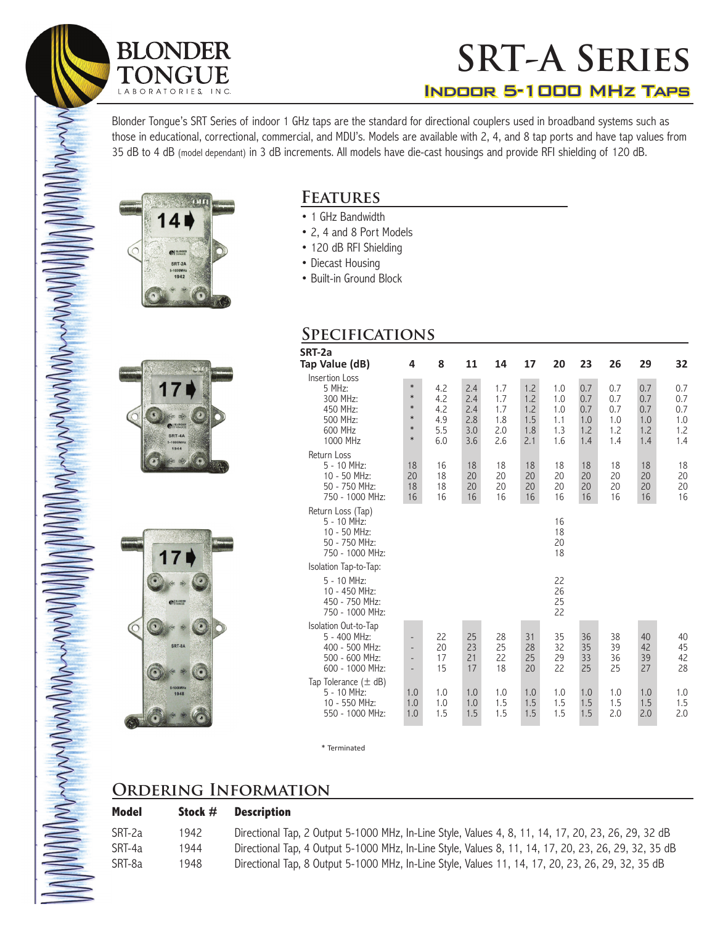

# **SRT-A Series** Indoor 5-1000 MHz Taps

Blonder Tongue's SRT Series of indoor 1 GHz taps are the standard for directional couplers used in broadband systems such as those in educational, correctional, commercial, and MDU's. Models are available with 2, 4, and 8 tap ports and have tap values from 35 dB to 4 dB (model dependant) in 3 dB increments. All models have die-cast housings and provide RFI shielding of 120 dB.





MMMMMMMMM

MAANMANNMAAN



## **Features**

- 1 GHz Bandwidth
- 2, 4 and 8 Port Models
- 120 dB RFI Shielding
- Diecast Housing
- Built-in Ground Block

#### **Specifications SRT-2a**

| SRT-2a<br>Tap Value (dB)                                                                    | 4                                                        | 8                                      | 11                                     | 14                                     | 17                                     | 20                                     | 23                                     | 26                                     | 29                                     | 32                                     |
|---------------------------------------------------------------------------------------------|----------------------------------------------------------|----------------------------------------|----------------------------------------|----------------------------------------|----------------------------------------|----------------------------------------|----------------------------------------|----------------------------------------|----------------------------------------|----------------------------------------|
| Insertion Loss<br>5 MHz:<br>300 MHz:<br>450 MHz:<br>500 MHz:<br>600 MHz<br>1000 MHz         | $\ast$<br>$\ast$<br>$\ast$<br>$\ast$<br>$\ast$<br>$\ast$ | 4.2<br>4.2<br>4.2<br>4.9<br>5.5<br>6.0 | 2.4<br>2.4<br>2.4<br>2.8<br>3.0<br>3.6 | 1.7<br>1.7<br>1.7<br>1.8<br>2.0<br>2.6 | 1.2<br>1.2<br>1.2<br>1.5<br>1.8<br>2.1 | 1.0<br>1.0<br>1.0<br>1.1<br>1.3<br>1.6 | 0.7<br>0.7<br>0.7<br>1.0<br>1.2<br>1.4 | 0.7<br>0.7<br>0.7<br>1.0<br>1.2<br>1.4 | 0.7<br>0.7<br>0.7<br>1.0<br>1.2<br>1.4 | 0.7<br>0.7<br>0.7<br>1.0<br>1.2<br>1.4 |
| Return Loss<br>5 - 10 MHz:<br>10 - 50 MHz:<br>50 - 750 MHz:<br>750 - 1000 MHz:              | 18<br>20<br>18<br>16                                     | 16<br>18<br>18<br>16                   | 18<br>20<br>20<br>16                   | 18<br>20<br>20<br>16                   | 18<br>20<br>20<br>16                   | 18<br>20<br>20<br>16                   | 18<br>20<br>20<br>16                   | 18<br>20<br>20<br>16                   | 18<br>20<br>20<br>16                   | 18<br>20<br>20<br>16                   |
| Return Loss (Tap)<br>5 - 10 MHz:<br>10 - 50 MHz:<br>50 - 750 MHz:<br>750 - 1000 MHz:        |                                                          |                                        |                                        |                                        |                                        | 16<br>18<br>20<br>18                   |                                        |                                        |                                        |                                        |
| Isolation Tap-to-Tap:<br>5 - 10 MHz:<br>10 - 450 MHz:<br>450 - 750 MHz:<br>750 - 1000 MHz:  |                                                          |                                        |                                        |                                        |                                        | 22<br>26<br>25<br>22                   |                                        |                                        |                                        |                                        |
| Isolation Out-to-Tap<br>5 - 400 MHz:<br>400 - 500 MHz:<br>500 - 600 MHz:<br>600 - 1000 MHz: | $\overline{\phantom{0}}$                                 | 22<br>20<br>17<br>15                   | 25<br>23<br>21<br>17                   | 28<br>25<br>22<br>18                   | 31<br>28<br>25<br>20                   | 35<br>32<br>29<br>22                   | 36<br>35<br>33<br>25                   | 38<br>39<br>36<br>25                   | 40<br>42<br>39<br>27                   | 40<br>45<br>42<br>28                   |
| Tap Tolerance $(\pm$ dB)<br>5 - 10 MHz:<br>10 - 550 MHz:<br>550 - 1000 MHz:                 | 1.0<br>1.0<br>1.0                                        | 1.0<br>1.0<br>1.5                      | 1.0<br>1.0<br>1.5                      | 1.0<br>1.5<br>1.5                      | 1.0<br>1.5<br>1.5                      | 1.0<br>1.5<br>1.5                      | 1.0<br>1.5<br>1.5                      | 1.0<br>1.5<br>2.0                      | 1.0<br>1.5<br>2.0                      | 1.0<br>1.5<br>2.0                      |

\* Terminated

# **Ordering Information**

### **Model Stock # Description**

SRT-2a 1942 Directional Tap, 2 Output 5-1000 MHz, In-Line Style, Values 4, 8, 11, 14, 17, 20, 23, 26, 29, 32 dB SRT-4a 1944 Directional Tap, 4 Output 5-1000 MHz, In-Line Style, Values 8, 11, 14, 17, 20, 23, 26, 29, 32, 35 dB SRT-8a 1948 Directional Tap, 8 Output 5-1000 MHz, In-Line Style, Values 11, 14, 17, 20, 23, 26, 29, 32, 35 dB